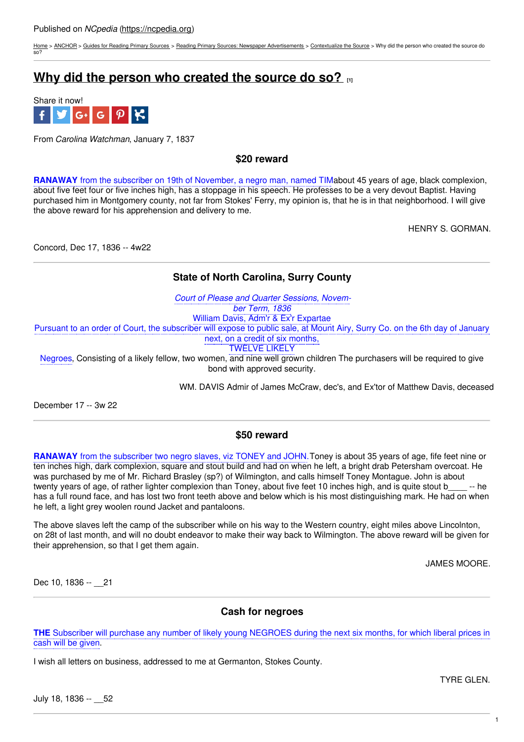[Home](https://ncpedia.org/) > [ANCHOR](https://ncpedia.org/anchor/anchor) > Guides for [Reading](https://ncpedia.org/anchor/guides-reading-primary) Primary Sources > Reading Primary Sources: Newspaper [Advertisements](https://ncpedia.org/anchor/reading-primary-sources-3) > [Contextualize](https://ncpedia.org/anchor/contextualize-source-1) the Source > Why did the person who created the source do so?

# **Why did the person who [created](https://ncpedia.org/anchor/why-did-person-who-created-2) the source do so? [1]**



From *Carolina Watchman*, January 7, 1837

**\$20 reward**

**RANAWAY** from the subscriber on 19th of November, a negro man, named TIMabout 45 years of age, black complexion, about five feet four or five inches high, has a stoppage in his speech. He professes to be a very devout Baptist. Having purchased him in Montgomery county, not far from Stokes' Ferry, my opinion is, that he is in that neighborhood. I will give the above reward for his apprehension and delivery to me.

HENRY S. GORMAN.

Concord, Dec 17, 1836 -- 4w22

## **State of North Carolina, Surry County**

*Court of Please and Quarter Sessions, November Term, 1836* William Davis, Adm'r & Ex'r Expartae Pursuant to an order of Court, the subscriber will expose to public sale, at Mount Airy, Surry Co. on the 6th day of January next, on a credit of six months, TWELVE LIKELY

Negroes, Consisting of a likely fellow, two women, and nine well grown children The purchasers will be required to give bond with approved security.

WM. DAVIS Admir of James McCraw, dec's, and Ex'tor of Matthew Davis, deceased

December 17 -- 3w 22

## **\$50 reward**

**RANAWAY** from the subscriber two negro slaves, viz TONEY and JOHN.Toney is about 35 years of age, fife feet nine or ten inches high, dark complexion, square and stout build and had on when he left, a bright drab Petersham overcoat. He was purchased by me of Mr. Richard Brasley (sp?) of Wilmington, and calls himself Toney Montague. John is about twenty years of age, of rather lighter complexion than Toney, about five feet 10 inches high, and is quite stout b -- he has a full round face, and has lost two front teeth above and below which is his most distinguishing mark. He had on when he left, a light grey woolen round Jacket and pantaloons.

The above slaves left the camp of the subscriber while on his way to the Western country, eight miles above Lincolnton, on 28t of last month, and will no doubt endeavor to make their way back to Wilmington. The above reward will be given for their apprehension, so that I get them again.

JAMES MOORE.

Dec 10, 1836 -- 21

## **Cash for negroes**

**THE** Subscriber will purchase any number of likely young NEGROES during the next six months, for which liberal prices in cash will be given.

I wish all letters on business, addressed to me at Germanton, Stokes County.

TYRE GLEN.